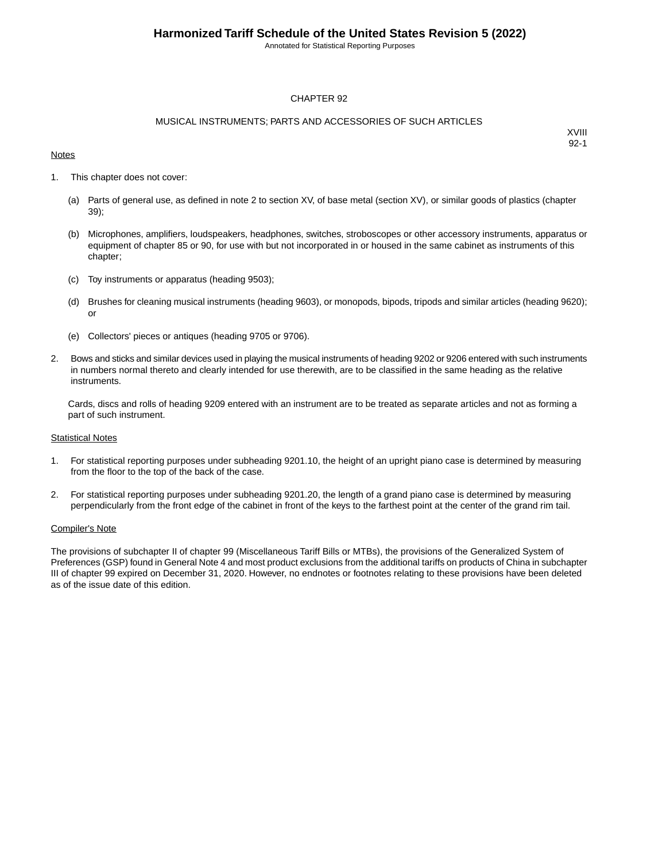Annotated for Statistical Reporting Purposes

### CHAPTER 92

#### MUSICAL INSTRUMENTS; PARTS AND ACCESSORIES OF SUCH ARTICLES

### **Notes**

XVIII 92-1

- 1. This chapter does not cover:
	- (a) Parts of general use, as defined in note 2 to section XV, of base metal (section XV), or similar goods of plastics (chapter 39);
	- (b) Microphones, amplifiers, loudspeakers, headphones, switches, stroboscopes or other accessory instruments, apparatus or equipment of chapter 85 or 90, for use with but not incorporated in or housed in the same cabinet as instruments of this chapter;
	- (c) Toy instruments or apparatus (heading 9503);
	- (d) Brushes for cleaning musical instruments (heading 9603), or monopods, bipods, tripods and similar articles (heading 9620); or
	- (e) Collectors' pieces or antiques (heading 9705 or 9706).
- 2. Bows and sticks and similar devices used in playing the musical instruments of heading 9202 or 9206 entered with such instruments in numbers normal thereto and clearly intended for use therewith, are to be classified in the same heading as the relative instruments.

Cards, discs and rolls of heading 9209 entered with an instrument are to be treated as separate articles and not as forming a part of such instrument.

#### **Statistical Notes**

- 1. For statistical reporting purposes under subheading 9201.10, the height of an upright piano case is determined by measuring from the floor to the top of the back of the case.
- 2. For statistical reporting purposes under subheading 9201.20, the length of a grand piano case is determined by measuring perpendicularly from the front edge of the cabinet in front of the keys to the farthest point at the center of the grand rim tail.

#### Compiler's Note

The provisions of subchapter II of chapter 99 (Miscellaneous Tariff Bills or MTBs), the provisions of the Generalized System of Preferences (GSP) found in General Note 4 and most product exclusions from the additional tariffs on products of China in subchapter III of chapter 99 expired on December 31, 2020. However, no endnotes or footnotes relating to these provisions have been deleted as of the issue date of this edition.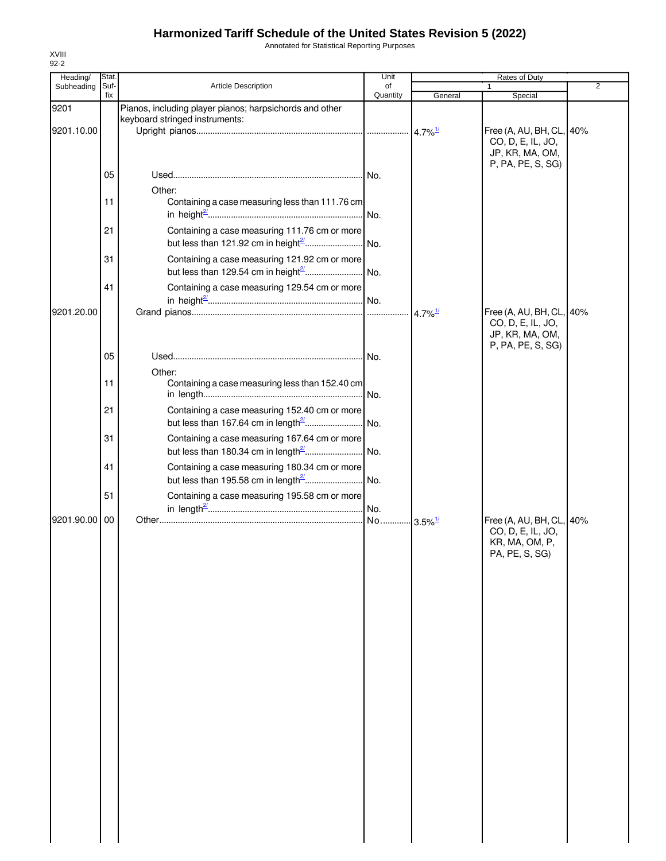Annotated for Statistical Reporting Purposes

| Heading/   | Stat. |                                                                                           | Unit     |                        | Rates of Duty                                                                         |                |
|------------|-------|-------------------------------------------------------------------------------------------|----------|------------------------|---------------------------------------------------------------------------------------|----------------|
| Subheading | Suf-  | <b>Article Description</b>                                                                | of       |                        |                                                                                       | $\overline{2}$ |
|            | fix   |                                                                                           | Quantity | General                | Special                                                                               |                |
| 9201       |       | Pianos, including player pianos; harpsichords and other<br>keyboard stringed instruments: |          |                        |                                                                                       |                |
| 9201.10.00 |       |                                                                                           |          | $4.7\%$ <sup>1/</sup>  | Free (A, AU, BH, CL, 40%<br>CO, D, E, IL, JO,<br>JP, KR, MA, OM,<br>P, PA, PE, S, SG) |                |
|            | 05    |                                                                                           |          |                        |                                                                                       |                |
|            | 11    | Other:<br>Containing a case measuring less than 111.76 cm                                 |          |                        |                                                                                       |                |
|            | 21    | Containing a case measuring 111.76 cm or more                                             |          |                        |                                                                                       |                |
|            | 31    | Containing a case measuring 121.92 cm or more                                             |          |                        |                                                                                       |                |
| 9201.20.00 | 41    | Containing a case measuring 129.54 cm or more                                             |          | $4.7\%$ <sup>1/</sup>  | Free (A, AU, BH, CL, 40%                                                              |                |
|            |       |                                                                                           |          |                        | CO, D, E, IL, JO,<br>JP, KR, MA, OM,                                                  |                |
|            | 05    | Other:                                                                                    |          |                        | P, PA, PE, S, SG)                                                                     |                |
|            | 11    | Containing a case measuring less than 152.40 cm                                           | .lNo.    |                        |                                                                                       |                |
|            | 21    | Containing a case measuring 152.40 cm or more                                             |          |                        |                                                                                       |                |
|            | 31    | Containing a case measuring 167.64 cm or more                                             |          |                        |                                                                                       |                |
|            | 41    | Containing a case measuring 180.34 cm or more                                             |          |                        |                                                                                       |                |
|            | 51    | Containing a case measuring 195.58 cm or more                                             |          |                        |                                                                                       |                |
| 9201.90.00 | 00    |                                                                                           |          | $-3.5\%$ <sup>1/</sup> | Free (A, AU, BH, CL, 40%<br>CO, D, E, IL, JO,<br>KR, MA, OM, P,<br>PA. PF. S. SG)     |                |
|            |       |                                                                                           |          |                        |                                                                                       |                |
|            |       |                                                                                           |          |                        |                                                                                       |                |
|            |       |                                                                                           |          |                        |                                                                                       |                |
|            |       |                                                                                           |          |                        |                                                                                       |                |
|            |       |                                                                                           |          |                        |                                                                                       |                |
|            |       |                                                                                           |          |                        |                                                                                       |                |
|            |       |                                                                                           |          |                        |                                                                                       |                |
|            |       |                                                                                           |          |                        |                                                                                       |                |
|            |       |                                                                                           |          |                        |                                                                                       |                |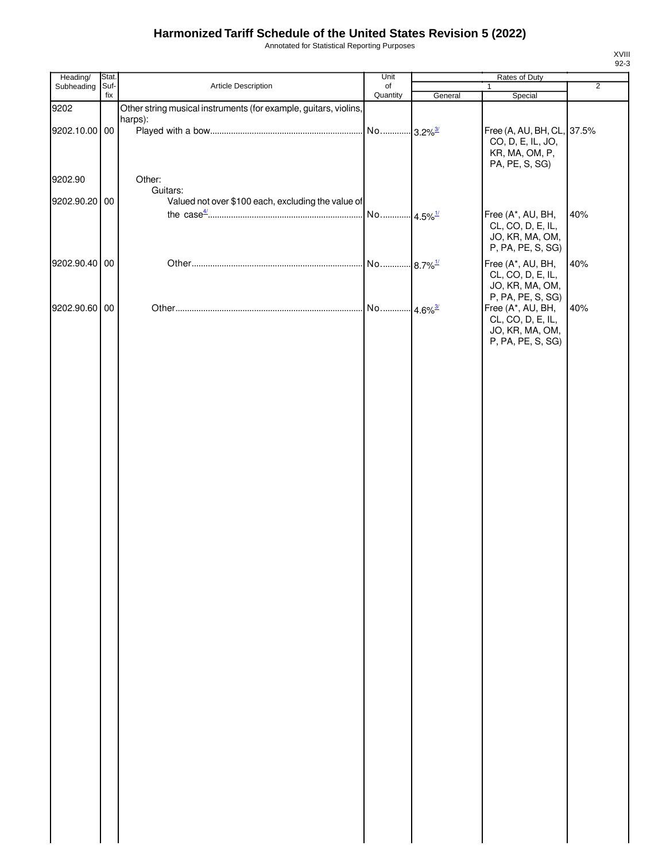Annotated for Statistical Reporting Purposes

| Heading/      | Stat.       |                                                                  | Unit                   |         | Rates of Duty                          |                |
|---------------|-------------|------------------------------------------------------------------|------------------------|---------|----------------------------------------|----------------|
| Subheading    | Suf-<br>fix | Article Description                                              | of<br>Quantity         | General | 1<br>Special                           | $\overline{2}$ |
| 9202          |             | Other string musical instruments (for example, guitars, violins, |                        |         |                                        |                |
|               |             | harps):                                                          |                        |         |                                        |                |
| 9202.10.00 00 |             |                                                                  |                        |         | Free (A, AU, BH, CL, 37.5%             |                |
|               |             |                                                                  |                        |         | CO, D, E, IL, JO,                      |                |
|               |             |                                                                  |                        |         | KR, MA, OM, P,                         |                |
|               |             |                                                                  |                        |         | PA, PE, S, SG)                         |                |
| 9202.90       |             | Other:                                                           |                        |         |                                        |                |
|               |             | Guitars:                                                         |                        |         |                                        |                |
| 9202.90.20 00 |             | Valued not over \$100 each, excluding the value of               | No 4.5% <sup>1/</sup>  |         | Free (A*, AU, BH,                      | 40%            |
|               |             |                                                                  |                        |         | CL, CO, D, E, IL,                      |                |
|               |             |                                                                  |                        |         | JO, KR, MA, OM,                        |                |
|               |             |                                                                  |                        |         | P, PA, PE, S, SG)                      |                |
| 9202.90.40 00 |             |                                                                  | No  8.7% <sup>1/</sup> |         | Free (A*, AU, BH,                      | 40%            |
|               |             |                                                                  |                        |         | CL, CO, D, E, IL,                      |                |
|               |             |                                                                  |                        |         | JO, KR, MA, OM,                        |                |
| 9202.90.60 00 |             |                                                                  | No 4.6% <sup>3/</sup>  |         | P, PA, PE, S, SG)<br>Free (A*, AU, BH, | 40%            |
|               |             |                                                                  |                        |         | CL, CO, D, E, IL,                      |                |
|               |             |                                                                  |                        |         | JO, KR, MA, OM,                        |                |
|               |             |                                                                  |                        |         | P, PA, PE, S, SG)                      |                |
|               |             |                                                                  |                        |         |                                        |                |
|               |             |                                                                  |                        |         |                                        |                |
|               |             |                                                                  |                        |         |                                        |                |
|               |             |                                                                  |                        |         |                                        |                |
|               |             |                                                                  |                        |         |                                        |                |
|               |             |                                                                  |                        |         |                                        |                |
|               |             |                                                                  |                        |         |                                        |                |
|               |             |                                                                  |                        |         |                                        |                |
|               |             |                                                                  |                        |         |                                        |                |
|               |             |                                                                  |                        |         |                                        |                |
|               |             |                                                                  |                        |         |                                        |                |
|               |             |                                                                  |                        |         |                                        |                |
|               |             |                                                                  |                        |         |                                        |                |
|               |             |                                                                  |                        |         |                                        |                |
|               |             |                                                                  |                        |         |                                        |                |
|               |             |                                                                  |                        |         |                                        |                |
|               |             |                                                                  |                        |         |                                        |                |
|               |             |                                                                  |                        |         |                                        |                |
|               |             |                                                                  |                        |         |                                        |                |
|               |             |                                                                  |                        |         |                                        |                |
|               |             |                                                                  |                        |         |                                        |                |
|               |             |                                                                  |                        |         |                                        |                |
|               |             |                                                                  |                        |         |                                        |                |
|               |             |                                                                  |                        |         |                                        |                |
|               |             |                                                                  |                        |         |                                        |                |
|               |             |                                                                  |                        |         |                                        |                |
|               |             |                                                                  |                        |         |                                        |                |
|               |             |                                                                  |                        |         |                                        |                |
|               |             |                                                                  |                        |         |                                        |                |
|               |             |                                                                  |                        |         |                                        |                |
|               |             |                                                                  |                        |         |                                        |                |
|               |             |                                                                  |                        |         |                                        |                |
|               |             |                                                                  |                        |         |                                        |                |
|               |             |                                                                  |                        |         |                                        |                |
|               |             |                                                                  |                        |         |                                        |                |
|               |             |                                                                  |                        |         |                                        |                |
|               |             |                                                                  |                        |         |                                        |                |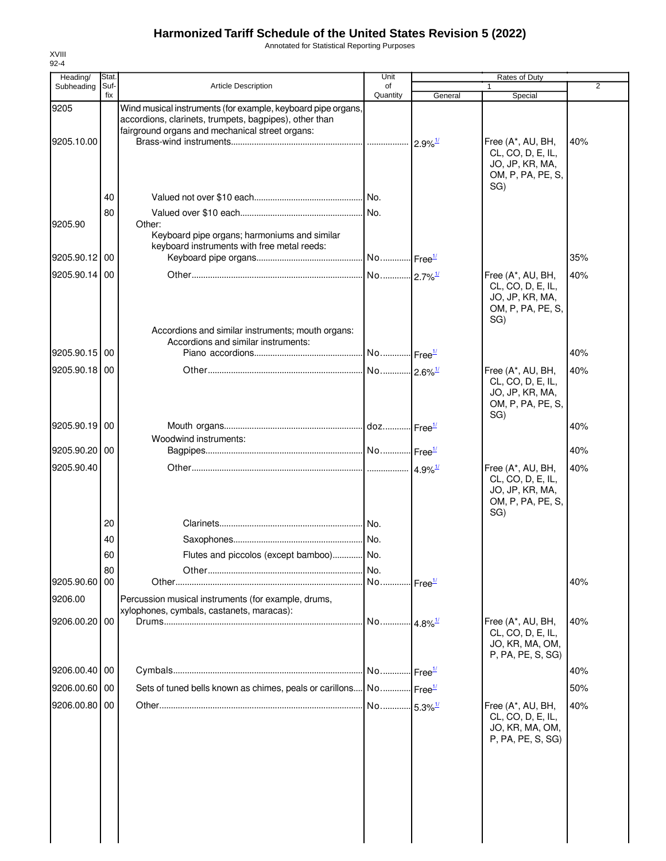Annotated for Statistical Reporting Purposes

| Heading/      | Stat.       |                                                                                                                                                                           | Unit                   |                            | Rates of Duty                                                                         |     |
|---------------|-------------|---------------------------------------------------------------------------------------------------------------------------------------------------------------------------|------------------------|----------------------------|---------------------------------------------------------------------------------------|-----|
| Subheading    | Suf-<br>fix | <b>Article Description</b>                                                                                                                                                | of<br>Quantity         | General                    | Special                                                                               | 2   |
| 9205          |             | Wind musical instruments (for example, keyboard pipe organs,<br>accordions, clarinets, trumpets, bagpipes), other than<br>fairground organs and mechanical street organs: |                        |                            |                                                                                       |     |
| 9205.10.00    |             |                                                                                                                                                                           |                        | $2.9\%$ <sup>1/</sup>      | Free (A*, AU, BH,<br>CL, CO, D, E, IL,<br>JO, JP, KR, MA,<br>OM, P, PA, PE, S,        | 40% |
|               | 40          |                                                                                                                                                                           |                        |                            | SG)                                                                                   |     |
| 9205.90       | 80          | Other:<br>Keyboard pipe organs; harmoniums and similar                                                                                                                    |                        |                            |                                                                                       |     |
| 9205.90.12 00 |             | keyboard instruments with free metal reeds:                                                                                                                               |                        |                            |                                                                                       | 35% |
| 9205.90.14    | 00          |                                                                                                                                                                           |                        |                            | Free (A*, AU, BH,                                                                     | 40% |
|               |             | Accordions and similar instruments; mouth organs:                                                                                                                         |                        |                            | CL, CO, D, E, IL,<br>JO, JP, KR, MA,<br>OM, P, PA, PE, S,<br>SG)                      |     |
|               |             | Accordions and similar instruments:                                                                                                                                       |                        |                            |                                                                                       |     |
| 9205.90.15 00 |             |                                                                                                                                                                           | No  Free <sup>1/</sup> |                            |                                                                                       | 40% |
| 9205.90.18 00 |             |                                                                                                                                                                           |                        |                            | Free (A*, AU, BH,<br>CL, CO, D, E, IL,<br>JO, JP, KR, MA,<br>OM, P, PA, PE, S,<br>SG) | 40% |
| 9205.90.19 00 |             |                                                                                                                                                                           |                        |                            |                                                                                       | 40% |
| 9205.90.20 00 |             | Woodwind instruments:                                                                                                                                                     |                        |                            |                                                                                       | 40% |
| 9205.90.40    |             |                                                                                                                                                                           |                        | $4.9\%$ <sup>1/</sup>      | Free (A*, AU, BH,                                                                     | 40% |
|               |             |                                                                                                                                                                           |                        |                            | CL, CO, D, E, IL,<br>JO, JP, KR, MA,<br>OM, P, PA, PE, S,<br>SG)                      |     |
|               | 20          |                                                                                                                                                                           |                        |                            |                                                                                       |     |
|               | 40          |                                                                                                                                                                           |                        |                            |                                                                                       |     |
|               | 60          | Flutes and piccolos (except bamboo)                                                                                                                                       | l No                   |                            |                                                                                       |     |
| 9205.90.60 00 | 80          |                                                                                                                                                                           | No.                    | $\cdot$ Free $\frac{1}{2}$ |                                                                                       | 40% |
| 9206.00       |             | Percussion musical instruments (for example, drums,                                                                                                                       |                        |                            |                                                                                       |     |
| 9206.00.20 00 |             | xylophones, cymbals, castanets, maracas):                                                                                                                                 | No 4.8% <sup>1/</sup>  |                            | Free (A*, AU, BH,<br>CL, CO, D, E, IL,<br>JO, KR, MA, OM,<br>P, PA, PE, S, SG)        | 40% |
| 9206.00.40 00 |             |                                                                                                                                                                           |                        |                            |                                                                                       | 40% |
| 9206.00.60 00 |             | Sets of tuned bells known as chimes, peals or carillons No Free <sup>1/</sup>                                                                                             |                        |                            |                                                                                       | 50% |
| 9206.00.80 00 |             |                                                                                                                                                                           | No 5.3% <sup>1/</sup>  |                            | Free (A*, AU, BH,                                                                     | 40% |
|               |             |                                                                                                                                                                           |                        |                            | CL, CO, D, E, IL,<br>JO, KR, MA, OM,<br>P, PA, PE, S, SG)                             |     |
|               |             |                                                                                                                                                                           |                        |                            |                                                                                       |     |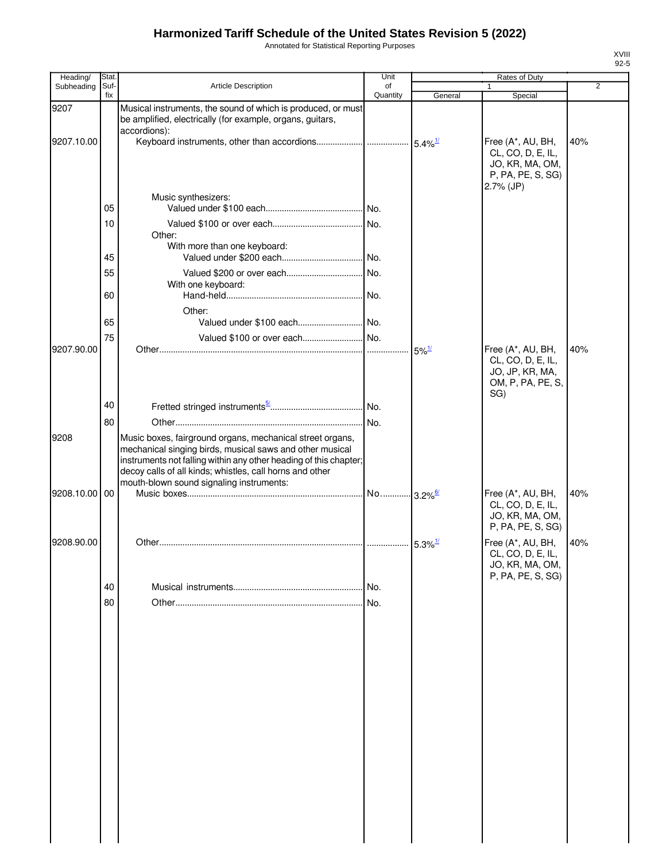Annotated for Statistical Reporting Purposes

| Heading/      | Stat.       |                                                                                                                                                                                                                                                                                                    | Unit                     |                     | <b>Rates of Duty</b>                                                                          |                |
|---------------|-------------|----------------------------------------------------------------------------------------------------------------------------------------------------------------------------------------------------------------------------------------------------------------------------------------------------|--------------------------|---------------------|-----------------------------------------------------------------------------------------------|----------------|
| Subheading    | Suf-<br>fix | <b>Article Description</b>                                                                                                                                                                                                                                                                         | of<br>Quantity           | General             | $\mathbf{1}$<br>Special                                                                       | $\overline{2}$ |
| 9207          |             | Musical instruments, the sound of which is produced, or must<br>be amplified, electrically (for example, organs, guitars,<br>accordions):                                                                                                                                                          |                          |                     |                                                                                               |                |
| 9207.10.00    |             |                                                                                                                                                                                                                                                                                                    |                          |                     | Free (A*, AU, BH,<br>CL, CO, D, E, IL,<br>JO, KR, MA, OM,<br>P, PA, PE, S, SG)<br>$2.7%$ (JP) | 40%            |
|               | 05          | Music synthesizers:                                                                                                                                                                                                                                                                                |                          |                     |                                                                                               |                |
|               | 10          | Other:<br>With more than one keyboard:                                                                                                                                                                                                                                                             |                          |                     |                                                                                               |                |
|               | 45          |                                                                                                                                                                                                                                                                                                    |                          |                     |                                                                                               |                |
|               | 55<br>60    | With one keyboard:                                                                                                                                                                                                                                                                                 |                          |                     |                                                                                               |                |
|               |             |                                                                                                                                                                                                                                                                                                    |                          |                     |                                                                                               |                |
|               | 65          | Other:                                                                                                                                                                                                                                                                                             |                          |                     |                                                                                               |                |
|               | 75          |                                                                                                                                                                                                                                                                                                    |                          |                     |                                                                                               |                |
| 9207.90.00    |             |                                                                                                                                                                                                                                                                                                    |                          | $5\%$ <sup>1/</sup> | Free (A*, AU, BH,<br>CL, CO, D, E, IL,<br>JO, JP, KR, MA,<br>OM, P, PA, PE, S,<br>SG)         | 40%            |
|               | 40          |                                                                                                                                                                                                                                                                                                    |                          |                     |                                                                                               |                |
|               | 80          |                                                                                                                                                                                                                                                                                                    | No.                      |                     |                                                                                               |                |
| 9208          |             | Music boxes, fairground organs, mechanical street organs,<br>mechanical singing birds, musical saws and other musical<br>instruments not falling within any other heading of this chapter;<br>decoy calls of all kinds; whistles, call horns and other<br>mouth-blown sound signaling instruments: |                          |                     |                                                                                               |                |
| 9208.10.00 00 |             |                                                                                                                                                                                                                                                                                                    | . No… 3.2% <sup>6/</sup> |                     | Free (A*, AU, BH,<br>CL, CO, D, E, IL,<br>JO, KR, MA, OM,<br>P, PA, PE, S, SG)                | 40%            |
| 9208.90.00    |             |                                                                                                                                                                                                                                                                                                    |                          |                     | Free (A*, AU, BH,<br>CL, CO, D, E, IL,<br>JO, KR, MA, OM,<br>P, PA, PE, S, SG)                | 40%            |
|               | 40          |                                                                                                                                                                                                                                                                                                    | No.                      |                     |                                                                                               |                |
|               | 80          |                                                                                                                                                                                                                                                                                                    | No.                      |                     |                                                                                               |                |
|               |             |                                                                                                                                                                                                                                                                                                    |                          |                     |                                                                                               |                |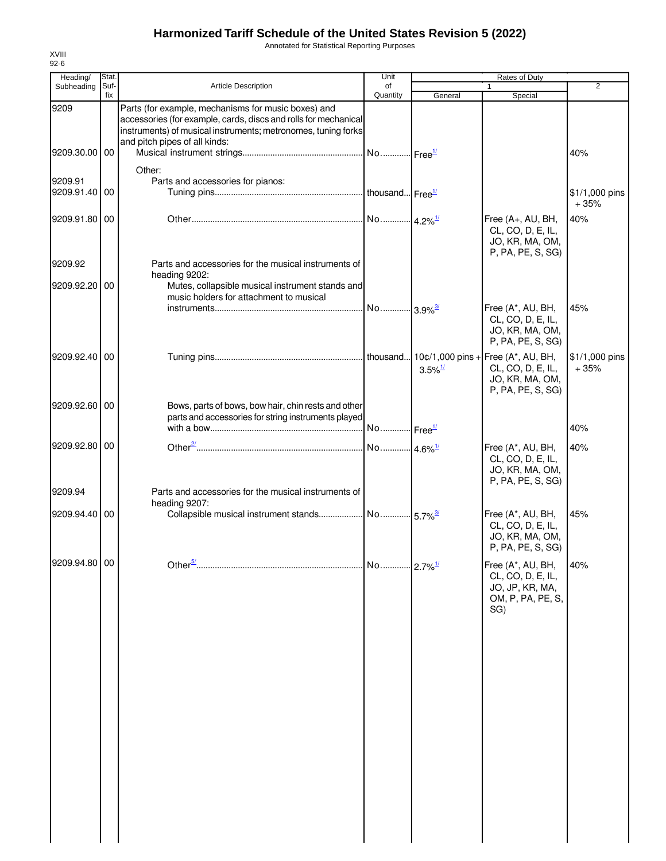Annotated for Statistical Reporting Purposes

| Heading/                 | Stat.       |                                                                                                                                                                                                                          | Unit                   |                       | Rates of Duty                                                                                                  |                          |
|--------------------------|-------------|--------------------------------------------------------------------------------------------------------------------------------------------------------------------------------------------------------------------------|------------------------|-----------------------|----------------------------------------------------------------------------------------------------------------|--------------------------|
| Subheading               | Suf-<br>fix | <b>Article Description</b>                                                                                                                                                                                               | of<br>Quantity         | General               | 1<br>Special                                                                                                   | $\overline{2}$           |
| 9209                     |             | Parts (for example, mechanisms for music boxes) and<br>accessories (for example, cards, discs and rolls for mechanical<br>instruments) of musical instruments; metronomes, tuning forks<br>and pitch pipes of all kinds: |                        |                       |                                                                                                                |                          |
| 9209.30.00 00            |             |                                                                                                                                                                                                                          | No  Free <sup>1/</sup> |                       |                                                                                                                | 40%                      |
| 9209.91<br>9209.91.40 00 |             | Other:<br>Parts and accessories for pianos:                                                                                                                                                                              |                        |                       |                                                                                                                | \$1/1,000 pins<br>$+35%$ |
| 9209.91.80 00            |             |                                                                                                                                                                                                                          |                        |                       | Free (A+, AU, BH,<br>CL, CO, D, E, IL,<br>JO, KR, MA, OM,<br>P, PA, PE, S, SG)                                 | 40%                      |
| 9209.92                  |             | Parts and accessories for the musical instruments of<br>heading 9202:                                                                                                                                                    |                        |                       |                                                                                                                |                          |
| 9209.92.20 00            |             | Mutes, collapsible musical instrument stands and<br>music holders for attachment to musical                                                                                                                              |                        |                       |                                                                                                                |                          |
|                          |             |                                                                                                                                                                                                                          | No 3.9% <sup>3/</sup>  |                       | Free (A*, AU, BH,<br>CL, CO, D, E, IL,<br>JO, KR, MA, OM,<br>P, PA, PE, S, SG)                                 | 45%                      |
| 9209.92.40 00            |             |                                                                                                                                                                                                                          |                        | $3.5\%$ <sup>1/</sup> | $\ln$ thousand 10¢/1,000 pins + Free (A*, AU, BH,<br>CL, CO, D, E, IL,<br>JO, KR, MA, OM,<br>P, PA, PE, S, SG) | \$1/1,000 pins<br>$+35%$ |
| 9209.92.60 00            |             | Bows, parts of bows, bow hair, chin rests and other<br>parts and accessories for string instruments played                                                                                                               |                        |                       |                                                                                                                |                          |
|                          |             |                                                                                                                                                                                                                          | No Free <sup>1/</sup>  |                       |                                                                                                                | 40%                      |
| 9209.92.80 00<br>9209.94 |             | Parts and accessories for the musical instruments of                                                                                                                                                                     | No 4.6% <sup>1/</sup>  |                       | Free (A*, AU, BH,<br>CL, CO, D, E, IL,<br>JO, KR, MA, OM,<br>P, PA, PE, S, SG)                                 | 40%                      |
|                          |             | heading 9207:                                                                                                                                                                                                            |                        |                       |                                                                                                                |                          |
| 9209.94.40 00            |             |                                                                                                                                                                                                                          |                        |                       | Free (A*, AU, BH,<br>CL, CO, D, E, IL,<br>JO, KR, MA, OM,<br>P, PA, PE, S, SG)                                 | 45%                      |
| 9209.94.80 00            |             |                                                                                                                                                                                                                          | No 2.7% <sup>1/</sup>  |                       | Free (A*, AU, BH,<br>CL, CO, D, E, IL,<br>JO, JP, KR, MA,<br>OM, P, PA, PE, S,<br>SG)                          | 40%                      |
|                          |             |                                                                                                                                                                                                                          |                        |                       |                                                                                                                |                          |
|                          |             |                                                                                                                                                                                                                          |                        |                       |                                                                                                                |                          |
|                          |             |                                                                                                                                                                                                                          |                        |                       |                                                                                                                |                          |
|                          |             |                                                                                                                                                                                                                          |                        |                       |                                                                                                                |                          |
|                          |             |                                                                                                                                                                                                                          |                        |                       |                                                                                                                |                          |
|                          |             |                                                                                                                                                                                                                          |                        |                       |                                                                                                                |                          |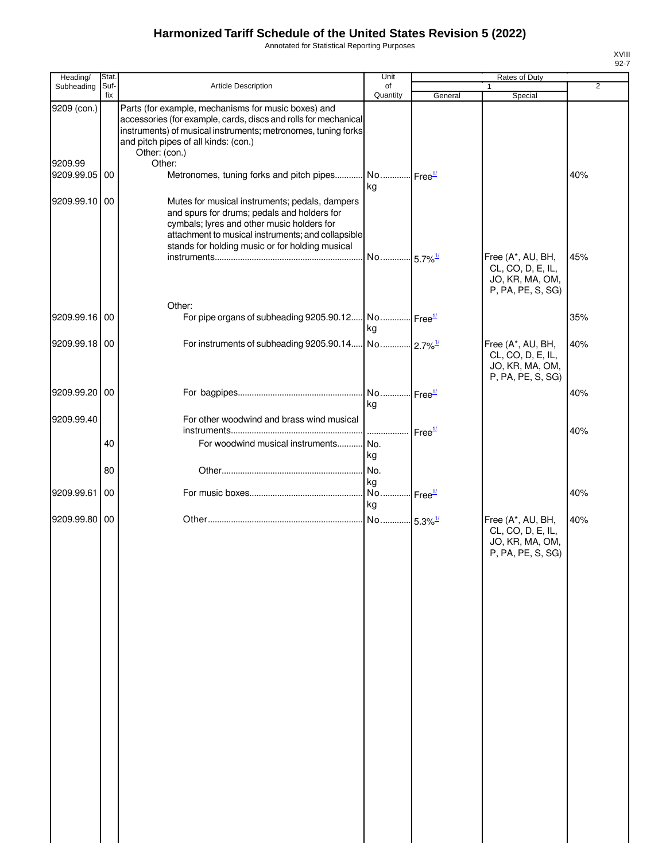Annotated for Statistical Reporting Purposes

| Heading/              | Stat.       |                                                                                                                                                                                                                                                      | Unit                              |         | Rates of Duty                                                                  |     |
|-----------------------|-------------|------------------------------------------------------------------------------------------------------------------------------------------------------------------------------------------------------------------------------------------------------|-----------------------------------|---------|--------------------------------------------------------------------------------|-----|
| Subheading            | Suf-<br>fix | Article Description                                                                                                                                                                                                                                  | of<br>Quantity                    | General | 1<br>Special                                                                   | 2   |
| 9209 (con.)           |             | Parts (for example, mechanisms for music boxes) and<br>accessories (for example, cards, discs and rolls for mechanical<br>instruments) of musical instruments; metronomes, tuning forks<br>and pitch pipes of all kinds: (con.)<br>Other: (con.)     |                                   |         |                                                                                |     |
| 9209.99<br>9209.99.05 | 00          | Other:<br>Metronomes, tuning forks and pitch pipes No Free <sup>1/</sup>                                                                                                                                                                             | kg                                |         |                                                                                | 40% |
| 9209.99.10 00         |             | Mutes for musical instruments; pedals, dampers<br>and spurs for drums; pedals and holders for<br>cymbals; lyres and other music holders for<br>attachment to musical instruments; and collapsible<br>stands for holding music or for holding musical |                                   |         |                                                                                |     |
|                       |             |                                                                                                                                                                                                                                                      | No 5.7% <sup>1/</sup>             |         | Free (A*, AU, BH,<br>CL, CO, D, E, IL,<br>JO, KR, MA, OM,<br>P, PA, PE, S, SG) | 45% |
| 9209.99.16            | 00          | Other:<br>For pipe organs of subheading 9205.90.12 No Free <sup>1/</sup>                                                                                                                                                                             | kg                                |         |                                                                                | 35% |
| 9209.99.18 00         |             |                                                                                                                                                                                                                                                      |                                   |         | Free (A*, AU, BH,<br>CL, CO, D, E, IL,<br>JO, KR, MA, OM,<br>P, PA, PE, S, SG) | 40% |
| 9209.99.20 00         |             |                                                                                                                                                                                                                                                      | kg                                |         |                                                                                | 40% |
| 9209.99.40            |             | For other woodwind and brass wind musical                                                                                                                                                                                                            |                                   |         |                                                                                | 40% |
|                       | 40          | For woodwind musical instruments                                                                                                                                                                                                                     | No.<br>kg                         |         |                                                                                |     |
|                       | 80          |                                                                                                                                                                                                                                                      | No.                               |         |                                                                                |     |
| 9209.99.61            | 00          |                                                                                                                                                                                                                                                      | kg<br>No Free <sup>1/</sup><br>kg |         |                                                                                | 40% |
| 9209.99.80            | 00          |                                                                                                                                                                                                                                                      |                                   |         | Free (A*, AU, BH,<br>CL, CO, D, E, IL,<br>JO, KR, MA, OM,<br>P, PA, PE, S, SG) | 40% |
|                       |             |                                                                                                                                                                                                                                                      |                                   |         |                                                                                |     |
|                       |             |                                                                                                                                                                                                                                                      |                                   |         |                                                                                |     |